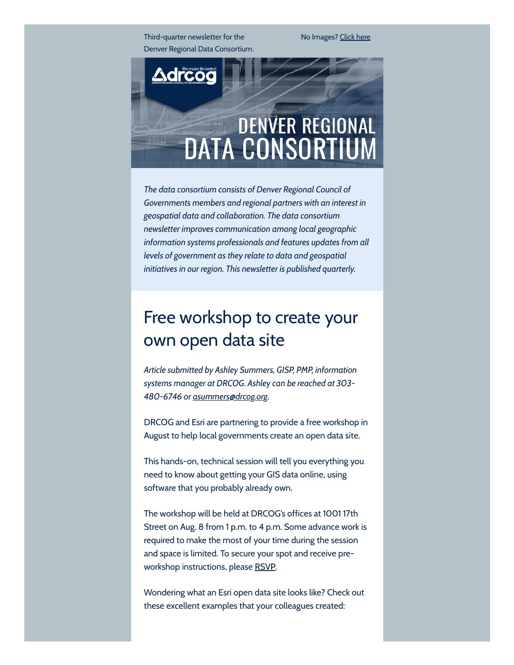Third-quarter newsletter for the Denver Regional Data Consortium. No Images? [Click](https://drcog.createsend1.com/t/d-e-bitkrdy-l-tr/) here



*The data consortium consists of Denver Regional Council of Governments members and regional partners with an interest in geospatial data and collaboration. The data consortium newsletter improves communication among local geographic information systems professionals and features updates from all levels of government as they relate to data and geospatial initiatives in our region. This newsletter is published quarterly.*

### Free workshop to create your own open data site

*Article submitted by Ashley Summers, GISP, PMP, information systems manager at DRCOG. Ashley can be reached at 303- 480-6746 or [asummers@drcog.org](mailto:asummers@drcog.org).*

DRCOG and Esri are partnering to provide a free workshop in August to help local governments create an open data site.

This hands-on, technical session will tell you everything you need to know about getting your GIS data online, using software that you probably already own.

The workshop will be held at DRCOG's offices at 1001 17th Street on Aug. 8 from 1 p.m. to 4 p.m. Some advance work is required to make the most of your time during the session and space is limited. To secure your spot and receive preworkshop instructions, please [RSVP](https://drcog.createsend1.com/t/d-l-bitkrdy-l-y/).

Wondering what an Esri open data site looks like? Check out these excellent examples that your colleagues created: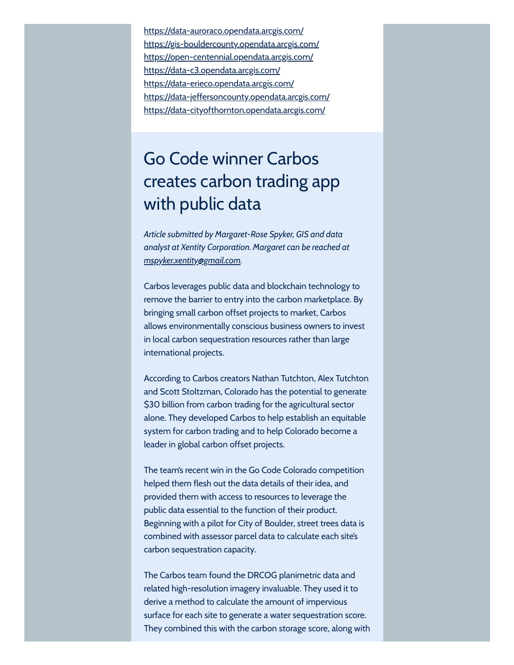[https://data-auroraco.opendata.arcgis.com/](https://drcog.createsend1.com/t/d-l-bitkrdy-l-j/) [https://gis-bouldercounty.opendata.arcgis.com/](https://drcog.createsend1.com/t/d-l-bitkrdy-l-t/) [https://open-centennial.opendata.arcgis.com/](https://drcog.createsend1.com/t/d-l-bitkrdy-l-i/) [https://data-c3.opendata.arcgis.com/](https://drcog.createsend1.com/t/d-l-bitkrdy-l-h/) [https://data-erieco.opendata.arcgis.com/](https://drcog.createsend1.com/t/d-l-bitkrdy-l-k/) [https://data-jeffersoncounty.opendata.arcgis.com/](https://drcog.createsend1.com/t/d-l-bitkrdy-l-u/) [https://data-cityofthornton.opendata.arcgis.com/](https://drcog.createsend1.com/t/d-l-bitkrdy-l-o/)

# Go Code winner Carbos creates carbon trading app with public data

*Article submitted by Margaret-Rose Spyker, GIS and data analyst at Xentity Corporation. Margaret can be reached at [mspyker.xentity@gmail.com.](mailto:mspyker.xentity@gmail.com)*

Carbos leverages public data and blockchain technology to remove the barrier to entry into the carbon marketplace. By bringing small carbon offset projects to market, Carbos allows environmentally conscious business owners to invest in local carbon sequestration resources rather than large international projects.

According to Carbos creators Nathan Tutchton, Alex Tutchton and Scott Stoltzman, Colorado has the potential to generate \$30 billion from carbon trading for the agricultural sector alone. They developed Carbos to help establish an equitable system for carbon trading and to help Colorado become a leader in global carbon offset projects.

The team's recent win in the Go Code Colorado competition helped them flesh out the data details of their idea, and provided them with access to resources to leverage the public data essential to the function of their product. Beginning with a pilot for City of Boulder, street trees data is combined with assessor parcel data to calculate each site's carbon sequestration capacity.

The Carbos team found the DRCOG planimetric data and related high-resolution imagery invaluable. They used it to derive a method to calculate the amount of impervious surface for each site to generate a water sequestration score. They combined this with the carbon storage score, along with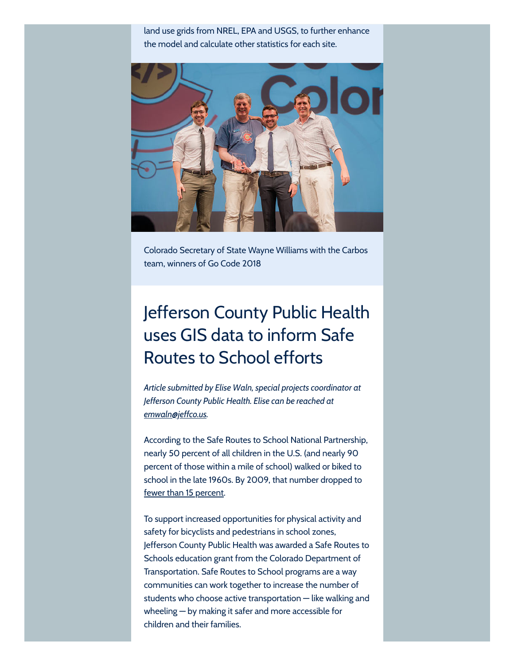land use grids from NREL, EPA and USGS, to further enhance the model and calculate other statistics for each site.



Colorado Secretary of State Wayne Williams with the Carbos team, winners of Go Code 2018

## Jefferson County Public Health uses GIS data to inform Safe Routes to School efforts

*Article submitted by Elise Waln, special projects coordinator at Jefferson County Public Health. Elise can be reached at [emwaln@jeffco.us](mailto:emwaln@jeffco.us).*

According to the Safe Routes to School National Partnership, nearly 50 percent of all children in the U.S. (and nearly 90 percent of those within a mile of school) walked or biked to school in the late 1960s. By 2009, that number dropped to fewer than 15 [percent.](https://drcog.createsend1.com/t/d-l-bitkrdy-l-m/)

To support increased opportunities for physical activity and safety for bicyclists and pedestrians in school zones, Jefferson County Public Health was awarded a Safe Routes to Schools education grant from the Colorado Department of Transportation. Safe Routes to School programs are a way communities can work together to increase the number of students who choose active transportation — like walking and wheeling — by making it safer and more accessible for children and their families.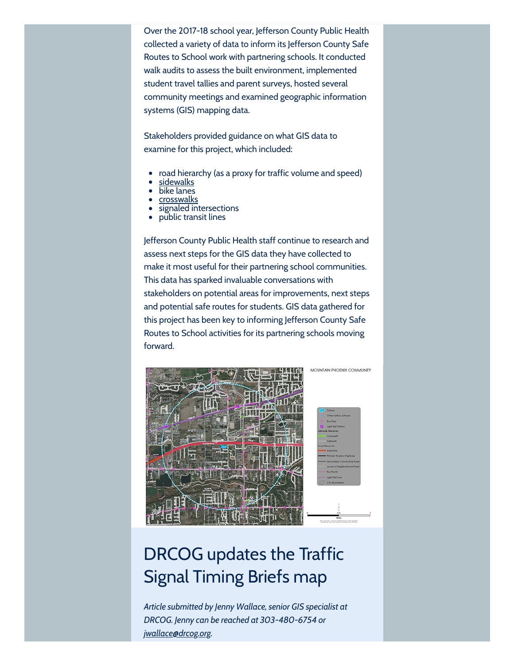Over the 2017-18 school year, Jefferson County Public Health collected a variety of data to inform its Jefferson County Safe Routes to School work with partnering schools. It conducted walk audits to assess the built environment, implemented student travel tallies and parent surveys, hosted several community meetings and examined geographic information systems (GIS) mapping data.

Stakeholders provided guidance on what GIS data to examine for this project, which included:

- road hierarchy (as a proxy for traffic volume and speed)
- <u>[sidewalks](https://drcog.createsend1.com/t/d-l-bitkrdy-l-c/)</u>
- bike lanes
- [crosswalks](https://drcog.createsend1.com/t/d-l-bitkrdy-l-q/)
- signaled intersections
- public transit lines

Jefferson County Public Health staff continue to research and assess next steps for the GIS data they have collected to make it most useful for their partnering school communities. This data has sparked invaluable conversations with stakeholders on potential areas for improvements, next steps and potential safe routes for students. GIS data gathered for this project has been key to informing Jefferson County Safe Routes to School activities for its partnering schools moving forward.



# DRCOG updates the Traffic Signal Timing Briefs map

*Article submitted by Jenny Wallace, senior GIS specialist at DRCOG. Jenny can be reached at 303-480-6754 or [jwallace@drcog.org](mailto:jwallace@drcog.org).*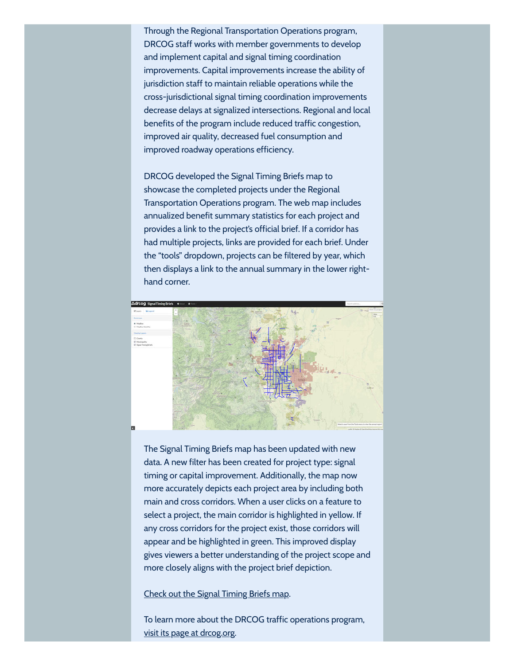Through the Regional Transportation Operations program, DRCOG staff works with member governments to develop and implement capital and signal timing coordination improvements. Capital improvements increase the ability of jurisdiction staff to maintain reliable operations while the cross-jurisdictional signal timing coordination improvements decrease delays at signalized intersections. Regional and local benefits of the program include reduced traffic congestion, improved air quality, decreased fuel consumption and improved roadway operations efficiency.

DRCOG developed the Signal Timing Briefs map to showcase the completed projects under the Regional Transportation Operations program. The web map includes annualized benefit summary statistics for each project and provides a link to the project's official brief. If a corridor has had multiple projects, links are provided for each brief. Under the "tools" dropdown, projects can be filtered by year, which then displays a link to the annual summary in the lower righthand corner.



The Signal Timing Briefs map has been updated with new data. A new filter has been created for project type: signal timing or capital improvement. Additionally, the map now more accurately depicts each project area by including both main and cross corridors. When a user clicks on a feature to select a project, the main corridor is highlighted in yellow. If any cross corridors for the project exist, those corridors will appear and be highlighted in green. This improved display gives viewers a better understanding of the project scope and more closely aligns with the project brief depiction.

#### Check out the Signal [Timing Briefs](https://drcog.createsend1.com/t/d-l-bitkrdy-l-a/) map.

To learn more about the DRCOG traffic operations program, visit its page at [drcog.org.](https://drcog.createsend1.com/t/d-l-bitkrdy-l-z/)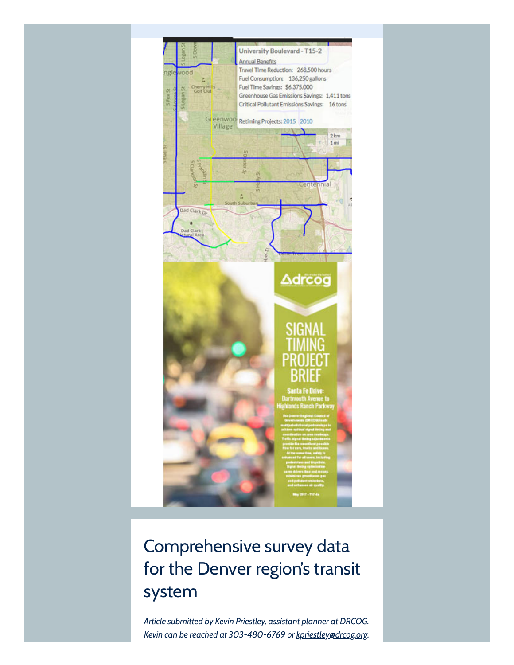

# Comprehensive survey data for the Denver region's transit system

*Article submitted by Kevin Priestley, assistant planner at DRCOG. Kevin can be reached at 303-480-6769 or [kpriestley@drcog.org.](mailto:kpriestley@drcog.org)*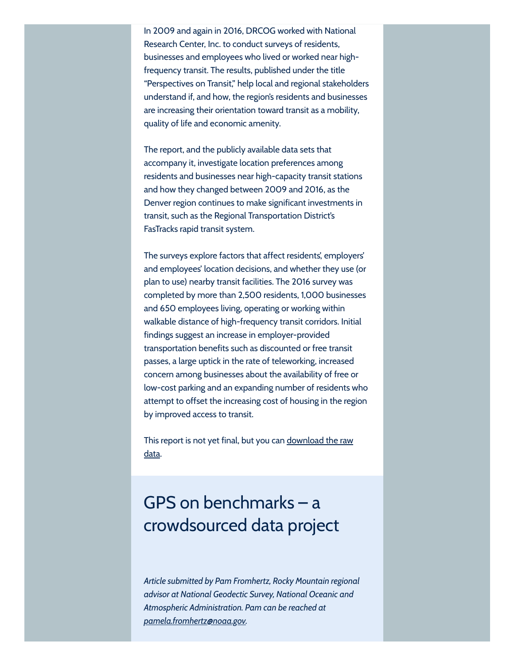In 2009 and again in 2016, DRCOG worked with National Research Center, Inc. to conduct surveys of residents, businesses and employees who lived or worked near highfrequency transit. The results, published under the title "Perspectives on Transit," help local and regional stakeholders understand if, and how, the region's residents and businesses are increasing their orientation toward transit as a mobility, quality of life and economic amenity.

The report, and the publicly available data sets that accompany it, investigate location preferences among residents and businesses near high-capacity transit stations and how they changed between 2009 and 2016, as the Denver region continues to make significant investments in transit, such as the Regional Transportation District's FasTracks rapid transit system.

The surveys explore factors that affect residents', employers' and employees' location decisions, and whether they use (or plan to use) nearby transit facilities. The 2016 survey was completed by more than 2,500 residents, 1,000 businesses and 650 employees living, operating or working within walkable distance of high-frequency transit corridors. Initial findings suggest an increase in employer-provided transportation benefits such as discounted or free transit passes, a large uptick in the rate of teleworking, increased concern among businesses about the availability of free or low-cost parking and an expanding number of residents who attempt to offset the increasing cost of housing in the region by improved access to transit.

This report is not yet final, but you can [download](https://drcog.createsend1.com/t/d-l-bitkrdy-l-v/) the raw data.

## GPS on benchmarks – a crowdsourced data project

*Article submitted by Pam Fromhertz, Rocky Mountain regional advisor at National Geodectic Survey, National Oceanic and Atmospheric Administration. Pam can be reached at [pamela.fromhertz@noaa.gov.](mailto:pamela.fromhertz@noaa.gov)*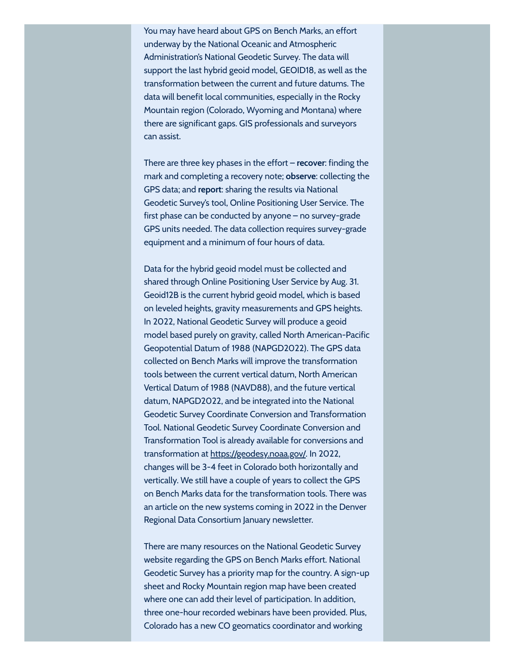You may have heard about GPS on Bench Marks, an effort underway by the National Oceanic and Atmospheric Administration's National Geodetic Survey. The data will support the last hybrid geoid model, GEOID18, as well as the transformation between the current and future datums. The data will benefit local communities, especially in the Rocky Mountain region (Colorado, Wyoming and Montana) where there are significant gaps. GIS professionals and surveyors can assist.

There are three key phases in the effort – **recover**: finding the mark and completing a recovery note; **observe**: collecting the GPS data; and **report**: sharing the results via National Geodetic Survey's tool, Online Positioning User Service. The first phase can be conducted by anyone – no survey-grade GPS units needed. The data collection requires survey-grade equipment and a minimum of four hours of data.

Data for the hybrid geoid model must be collected and shared through Online Positioning User Service by Aug. 31. Geoid12B is the current hybrid geoid model, which is based on leveled heights, gravity measurements and GPS heights. In 2022, National Geodetic Survey will produce a geoid model based purely on gravity, called North American-Pacific Geopotential Datum of 1988 (NAPGD2022). The GPS data collected on Bench Marks will improve the transformation tools between the current vertical datum, North American Vertical Datum of 1988 (NAVD88), and the future vertical datum, NAPGD2022, and be integrated into the National Geodetic Survey Coordinate Conversion and Transformation Tool. National Geodetic Survey Coordinate Conversion and Transformation Tool is already available for conversions and transformation at [https://geodesy.noaa.gov/](https://drcog.createsend1.com/t/d-l-bitkrdy-l-e/). In 2022, changes will be 3-4 feet in Colorado both horizontally and vertically. We still have a couple of years to collect the GPS on Bench Marks data for the transformation tools. There was an article on the new systems coming in 2022 in the Denver Regional Data Consortium January newsletter.

There are many resources on the National Geodetic Survey website regarding the GPS on Bench Marks effort. National Geodetic Survey has a priority map for the country. A sign-up sheet and Rocky Mountain region map have been created where one can add their level of participation. In addition, three one-hour recorded webinars have been provided. Plus, Colorado has a new CO geomatics coordinator and working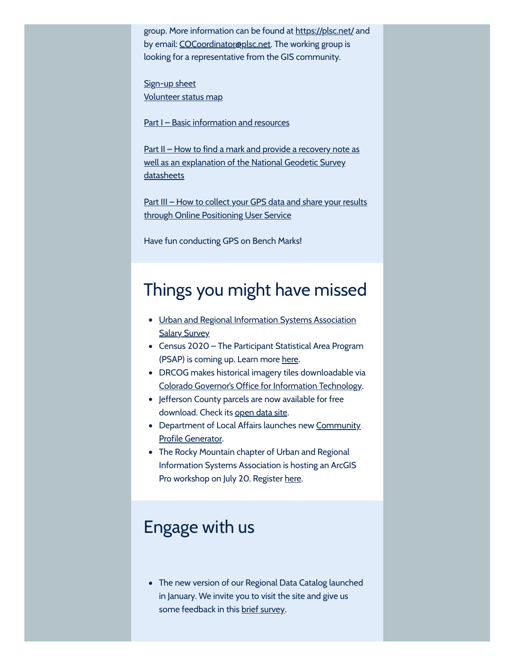group. More information can be found at [https://plsc.net/](https://drcog.createsend1.com/t/d-l-bitkrdy-l-s/) and by email: [COCoordinator@plsc.net](mailto:COCoordinator@plsc.net). The working group is looking for a representative from the GIS community.

[Sign-up](https://drcog.createsend1.com/t/d-l-bitkrdy-l-g/) sheet [Volunteer](https://drcog.createsend1.com/t/d-l-bitkrdy-l-w/) status map

Part I – Basic [information](https://drcog.createsend1.com/t/d-l-bitkrdy-l-yd/) and resources

Part II – How to find a mark and provide a recovery note as well as an [explanation](https://drcog.createsend1.com/t/d-l-bitkrdy-l-yh/) of the National Geodetic Survey datasheets

Part III – How to collect your GPS data and share your results through Online [Positioning User](https://drcog.createsend1.com/t/d-l-bitkrdy-l-yk/) Service

Have fun conducting GPS on Bench Marks!

### Things you might have missed

- Urban and Regional [Information](https://drcog.createsend1.com/t/d-l-bitkrdy-l-yu/) Systems Association **Salary Survey**
- Census 2020 The Participant Statistical Area Program (PSAP) is coming up. Learn more [here](https://drcog.createsend1.com/t/d-l-bitkrdy-l-jl/).
- DRCOG makes historical imagery tiles downloadable via Colorado Governor's Office for [Information](https://drcog.createsend1.com/t/d-l-bitkrdy-l-jr/) Technology.
- Jefferson County parcels are now available for free download. Check its [open](https://drcog.createsend1.com/t/d-l-bitkrdy-l-jy/) data site.
- [Department](https://drcog.createsend1.com/t/d-l-bitkrdy-l-jj/) of Local Affairs launches new Community Profile Generator.
- The Rocky Mountain chapter of Urban and Regional Information Systems Association is hosting an ArcGIS Pro workshop on July 20. Register [here.](https://drcog.createsend1.com/t/d-l-bitkrdy-l-jt/)

### Engage with us

The new version of our Regional Data Catalog launched in January. We invite you to visit the site and give us some feedback in this brief [survey.](https://drcog.createsend1.com/t/d-l-bitkrdy-l-ji/)